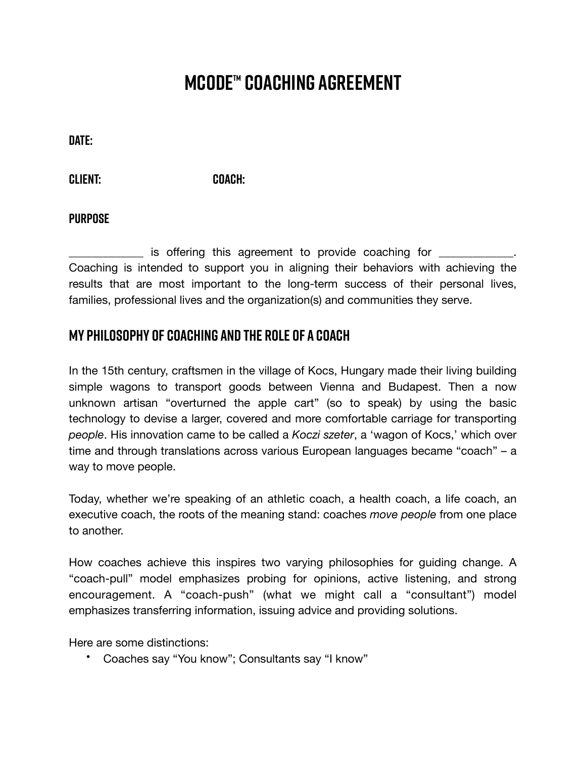# **MCODE™ COACHING AGREEMENT**

**Date:** 

**Client: Coach:** 

#### **Purpose**

\_\_\_\_\_\_\_\_\_\_\_\_\_ is offering this agreement to provide coaching for \_\_\_\_\_\_\_\_\_\_\_\_\_. Coaching is intended to support you in aligning their behaviors with achieving the results that are most important to the long-term success of their personal lives, families, professional lives and the organization(s) and communities they serve.

### **My Philosophy of Coaching and the Role of a Coach**

In the 15th century, craftsmen in the village of Kocs, Hungary made their living building simple wagons to transport goods between Vienna and Budapest. Then a now unknown artisan "overturned the apple cart" (so to speak) by using the basic technology to devise a larger, covered and more comfortable carriage for transporting *people*. His innovation came to be called a *Koczi szeter*, a 'wagon of Kocs,' which over time and through translations across various European languages became "coach" – a way to move people.

Today, whether we're speaking of an athletic coach, a health coach, a life coach, an executive coach, the roots of the meaning stand: coaches *move people* from one place to another.

How coaches achieve this inspires two varying philosophies for guiding change. A "coach-pull" model emphasizes probing for opinions, active listening, and strong encouragement. A "coach-push" (what we might call a "consultant") model emphasizes transferring information, issuing advice and providing solutions.

Here are some distinctions:

• Coaches say "You know"; Consultants say "I know"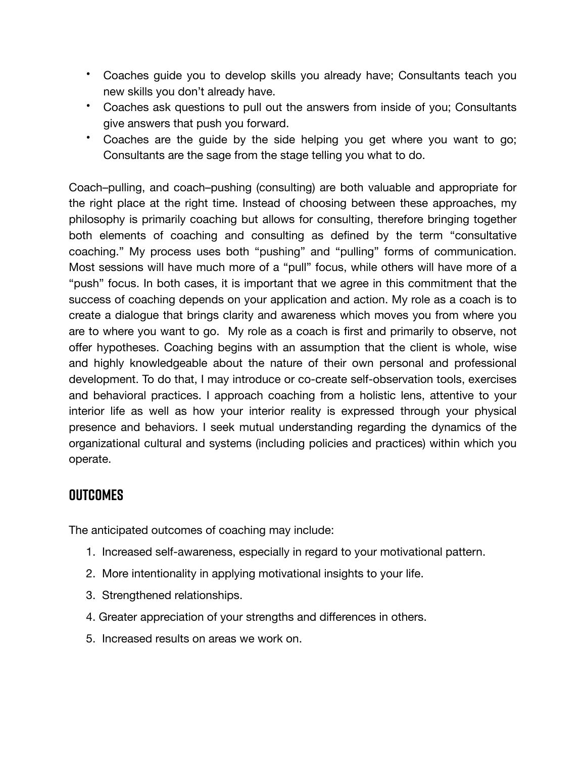- Coaches guide you to develop skills you already have; Consultants teach you new skills you don't already have.
- Coaches ask questions to pull out the answers from inside of you; Consultants give answers that push you forward.
- Coaches are the guide by the side helping you get where you want to go; Consultants are the sage from the stage telling you what to do.

Coach–pulling, and coach–pushing (consulting) are both valuable and appropriate for the right place at the right time. Instead of choosing between these approaches, my philosophy is primarily coaching but allows for consulting, therefore bringing together both elements of coaching and consulting as defined by the term "consultative coaching." My process uses both "pushing" and "pulling" forms of communication. Most sessions will have much more of a "pull" focus, while others will have more of a "push" focus. In both cases, it is important that we agree in this commitment that the success of coaching depends on your application and action. My role as a coach is to create a dialogue that brings clarity and awareness which moves you from where you are to where you want to go. My role as a coach is first and primarily to observe, not offer hypotheses. Coaching begins with an assumption that the client is whole, wise and highly knowledgeable about the nature of their own personal and professional development. To do that, I may introduce or co-create self-observation tools, exercises and behavioral practices. I approach coaching from a holistic lens, attentive to your interior life as well as how your interior reality is expressed through your physical presence and behaviors. I seek mutual understanding regarding the dynamics of the organizational cultural and systems (including policies and practices) within which you operate.

# **Outcomes**

The anticipated outcomes of coaching may include:

- 1. Increased self-awareness, especially in regard to your motivational pattern.
- 2. More intentionality in applying motivational insights to your life.
- 3. Strengthened relationships.
- 4. Greater appreciation of your strengths and differences in others.
- 5. Increased results on areas we work on.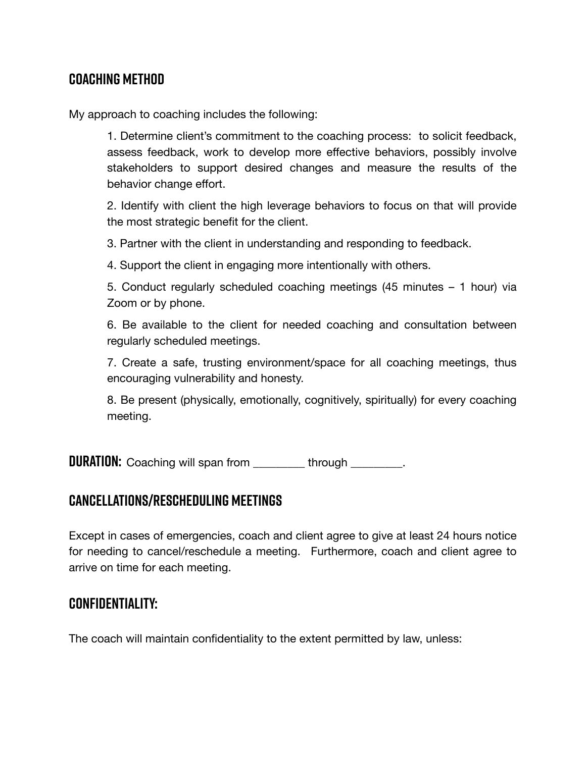# **Coaching Method**

My approach to coaching includes the following:

1. Determine client's commitment to the coaching process: to solicit feedback, assess feedback, work to develop more effective behaviors, possibly involve stakeholders to support desired changes and measure the results of the behavior change effort.

2. Identify with client the high leverage behaviors to focus on that will provide the most strategic benefit for the client.

3. Partner with the client in understanding and responding to feedback.

4. Support the client in engaging more intentionally with others.

5. Conduct regularly scheduled coaching meetings (45 minutes – 1 hour) via Zoom or by phone.

6. Be available to the client for needed coaching and consultation between regularly scheduled meetings.

7. Create a safe, trusting environment/space for all coaching meetings, thus encouraging vulnerability and honesty.

8. Be present (physically, emotionally, cognitively, spiritually) for every coaching meeting.

**DURATION:** Coaching will span from through through the coaching will span from the strike through the strike

# **Cancellations/Rescheduling Meetings**

Except in cases of emergencies, coach and client agree to give at least 24 hours notice for needing to cancel/reschedule a meeting. Furthermore, coach and client agree to arrive on time for each meeting.

# **Confidentiality:**

The coach will maintain confidentiality to the extent permitted by law, unless: